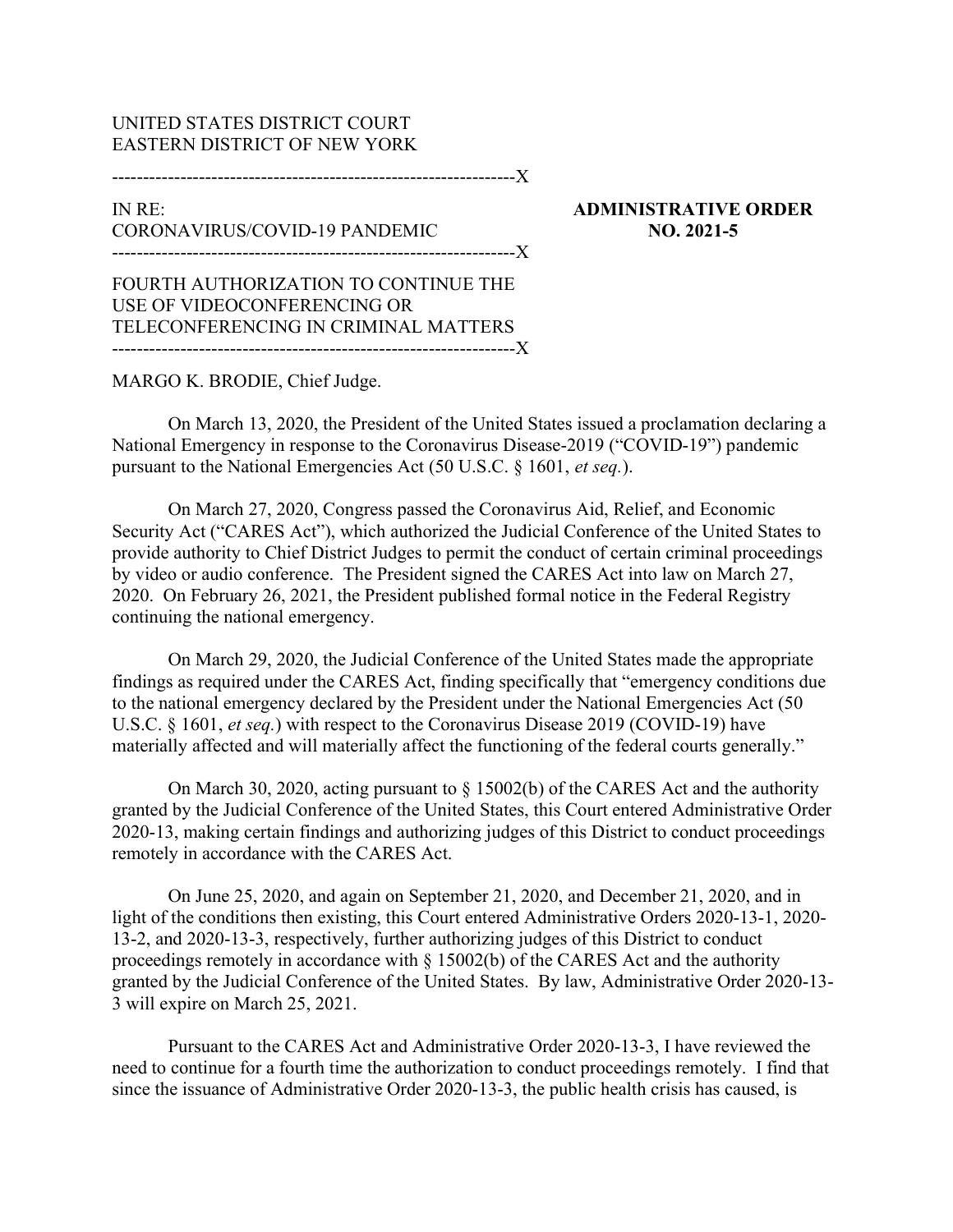## UNITED STATES DISTRICT COURT EASTERN DISTRICT OF NEW YORK

-----------------------------------------------------------------X

## IN RE: CORONAVIRUS/COVID-19 PANDEMIC -----------------------------------------------------------------X

ADMINISTRATIVE ORDER NO. 2021-5

FOURTH AUTHORIZATION TO CONTINUE THE USE OF VIDEOCONFERENCING OR TELECONFERENCING IN CRIMINAL MATTERS -----------------------------------------------------------------X

## MARGO K. BRODIE, Chief Judge.

On March 13, 2020, the President of the United States issued a proclamation declaring a National Emergency in response to the Coronavirus Disease-2019 ("COVID-19") pandemic pursuant to the National Emergencies Act (50 U.S.C. § 1601, et seq.).

On March 27, 2020, Congress passed the Coronavirus Aid, Relief, and Economic Security Act ("CARES Act"), which authorized the Judicial Conference of the United States to provide authority to Chief District Judges to permit the conduct of certain criminal proceedings by video or audio conference. The President signed the CARES Act into law on March 27, 2020. On February 26, 2021, the President published formal notice in the Federal Registry continuing the national emergency.

On March 29, 2020, the Judicial Conference of the United States made the appropriate findings as required under the CARES Act, finding specifically that "emergency conditions due to the national emergency declared by the President under the National Emergencies Act (50 U.S.C. § 1601, *et seq.*) with respect to the Coronavirus Disease 2019 (COVID-19) have materially affected and will materially affect the functioning of the federal courts generally."

On March 30, 2020, acting pursuant to § 15002(b) of the CARES Act and the authority granted by the Judicial Conference of the United States, this Court entered Administrative Order 2020-13, making certain findings and authorizing judges of this District to conduct proceedings remotely in accordance with the CARES Act.

On June 25, 2020, and again on September 21, 2020, and December 21, 2020, and in light of the conditions then existing, this Court entered Administrative Orders 2020-13-1, 2020- 13-2, and 2020-13-3, respectively, further authorizing judges of this District to conduct proceedings remotely in accordance with § 15002(b) of the CARES Act and the authority granted by the Judicial Conference of the United States. By law, Administrative Order 2020-13- 3 will expire on March 25, 2021.

Pursuant to the CARES Act and Administrative Order 2020-13-3, I have reviewed the need to continue for a fourth time the authorization to conduct proceedings remotely. I find that since the issuance of Administrative Order 2020-13-3, the public health crisis has caused, is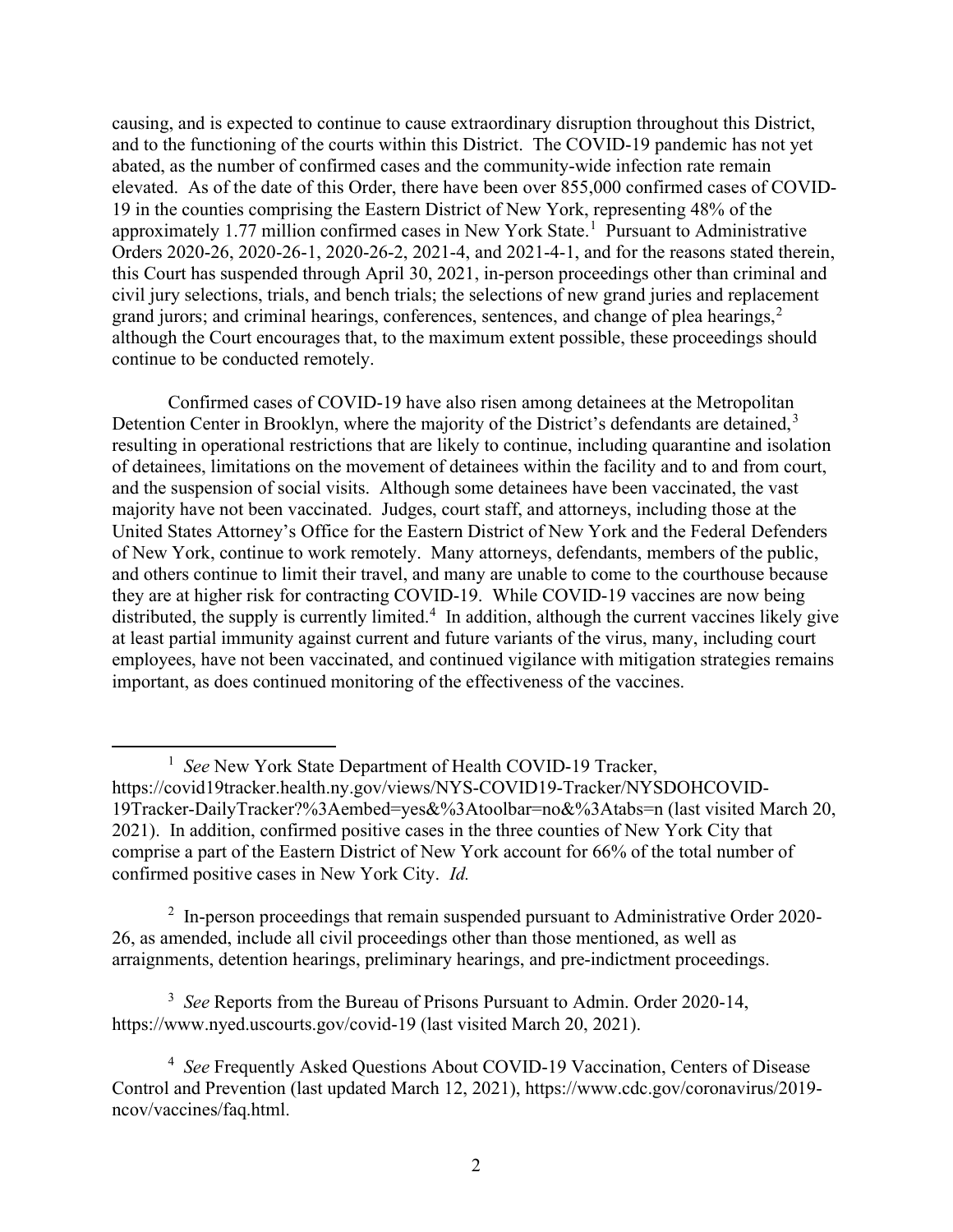causing, and is expected to continue to cause extraordinary disruption throughout this District, and to the functioning of the courts within this District. The COVID-19 pandemic has not yet abated, as the number of confirmed cases and the community-wide infection rate remain elevated. As of the date of this Order, there have been over 855,000 confirmed cases of COVID-19 in the counties comprising the Eastern District of New York, representing 48% of the approximately 1.77 million confirmed cases in New York State.<sup>1</sup> Pursuant to Administrative Orders 2020-26, 2020-26-1, 2020-26-2, 2021-4, and 2021-4-1, and for the reasons stated therein, this Court has suspended through April 30, 2021, in-person proceedings other than criminal and civil jury selections, trials, and bench trials; the selections of new grand juries and replacement grand jurors; and criminal hearings, conferences, sentences, and change of plea hearings, $2$ although the Court encourages that, to the maximum extent possible, these proceedings should continue to be conducted remotely.

Confirmed cases of COVID-19 have also risen among detainees at the Metropolitan Detention Center in Brooklyn, where the majority of the District's defendants are detained,  $3$ resulting in operational restrictions that are likely to continue, including quarantine and isolation of detainees, limitations on the movement of detainees within the facility and to and from court, and the suspension of social visits. Although some detainees have been vaccinated, the vast majority have not been vaccinated. Judges, court staff, and attorneys, including those at the United States Attorney's Office for the Eastern District of New York and the Federal Defenders of New York, continue to work remotely. Many attorneys, defendants, members of the public, and others continue to limit their travel, and many are unable to come to the courthouse because they are at higher risk for contracting COVID-19. While COVID-19 vaccines are now being distributed, the supply is currently limited.<sup>4</sup> In addition, although the current vaccines likely give at least partial immunity against current and future variants of the virus, many, including court employees, have not been vaccinated, and continued vigilance with mitigation strategies remains important, as does continued monitoring of the effectiveness of the vaccines.

 $2\;$  In-person proceedings that remain suspended pursuant to Administrative Order 2020-26, as amended, include all civil proceedings other than those mentioned, as well as arraignments, detention hearings, preliminary hearings, and pre-indictment proceedings.

<sup>3</sup> See Reports from the Bureau of Prisons Pursuant to Admin. Order 2020-14, https://www.nyed.uscourts.gov/covid-19 (last visited March 20, 2021).

<sup>&</sup>lt;sup>1</sup> See New York State Department of Health COVID-19 Tracker, https://covid19tracker.health.ny.gov/views/NYS-COVID19-Tracker/NYSDOHCOVID-19Tracker-DailyTracker?%3Aembed=yes&%3Atoolbar=no&%3Atabs=n (last visited March 20, 2021). In addition, confirmed positive cases in the three counties of New York City that comprise a part of the Eastern District of New York account for 66% of the total number of confirmed positive cases in New York City. Id.

<sup>&</sup>lt;sup>4</sup> See Frequently Asked Questions About COVID-19 Vaccination, Centers of Disease Control and Prevention (last updated March 12, 2021), https://www.cdc.gov/coronavirus/2019 ncov/vaccines/faq.html.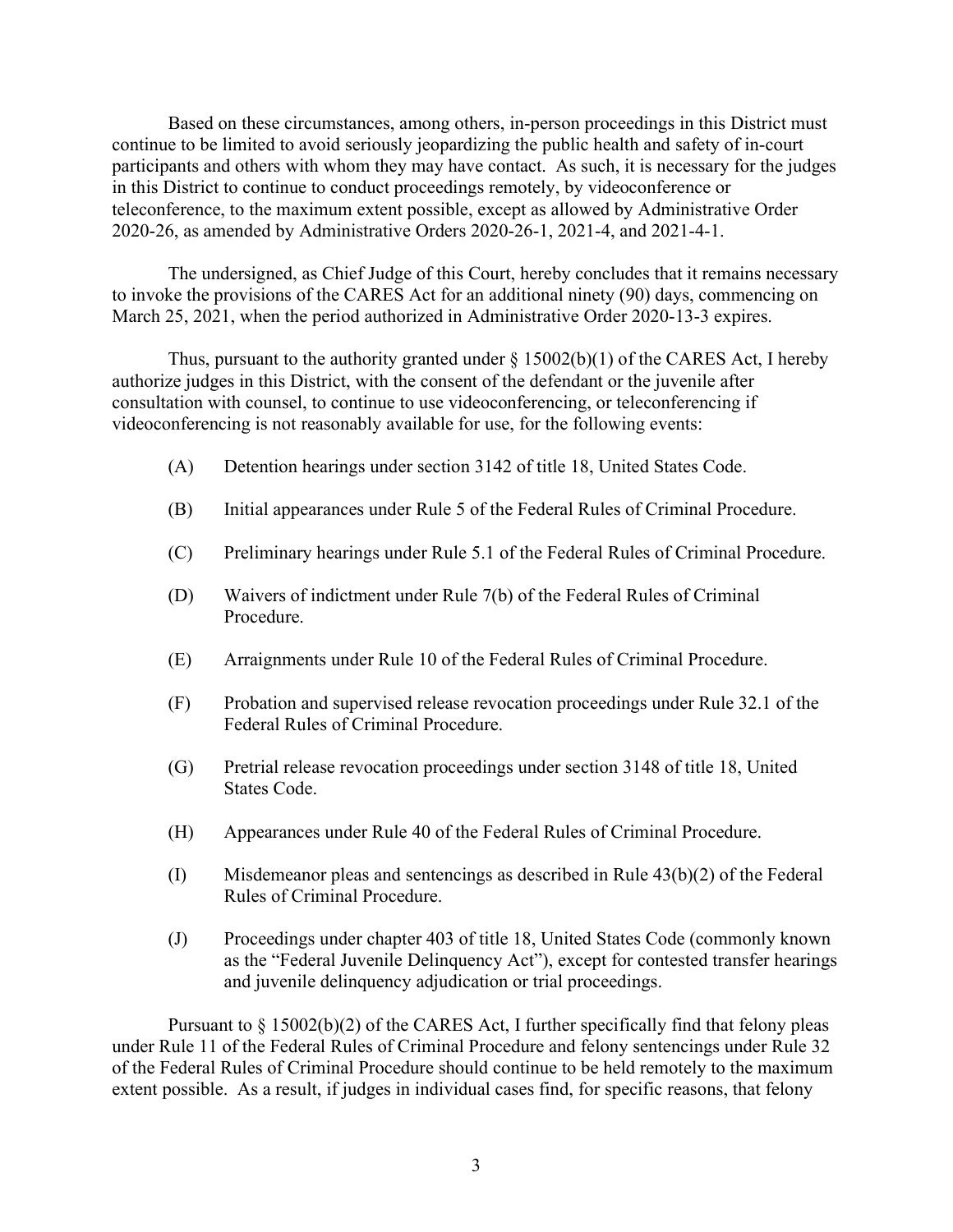Based on these circumstances, among others, in-person proceedings in this District must continue to be limited to avoid seriously jeopardizing the public health and safety of in-court participants and others with whom they may have contact. As such, it is necessary for the judges in this District to continue to conduct proceedings remotely, by videoconference or teleconference, to the maximum extent possible, except as allowed by Administrative Order 2020-26, as amended by Administrative Orders 2020-26-1, 2021-4, and 2021-4-1.

The undersigned, as Chief Judge of this Court, hereby concludes that it remains necessary to invoke the provisions of the CARES Act for an additional ninety (90) days, commencing on March 25, 2021, when the period authorized in Administrative Order 2020-13-3 expires.

Thus, pursuant to the authority granted under  $\S$  15002(b)(1) of the CARES Act, I hereby authorize judges in this District, with the consent of the defendant or the juvenile after consultation with counsel, to continue to use videoconferencing, or teleconferencing if videoconferencing is not reasonably available for use, for the following events:

- (A) Detention hearings under section 3142 of title 18, United States Code.
- (B) Initial appearances under Rule 5 of the Federal Rules of Criminal Procedure.
- (C) Preliminary hearings under Rule 5.1 of the Federal Rules of Criminal Procedure.
- (D) Waivers of indictment under Rule 7(b) of the Federal Rules of Criminal Procedure.
- (E) Arraignments under Rule 10 of the Federal Rules of Criminal Procedure.
- (F) Probation and supervised release revocation proceedings under Rule 32.1 of the Federal Rules of Criminal Procedure.
- (G) Pretrial release revocation proceedings under section 3148 of title 18, United States Code.
- (H) Appearances under Rule 40 of the Federal Rules of Criminal Procedure.
- (I) Misdemeanor pleas and sentencings as described in Rule 43(b)(2) of the Federal Rules of Criminal Procedure.
- (J) Proceedings under chapter 403 of title 18, United States Code (commonly known as the "Federal Juvenile Delinquency Act"), except for contested transfer hearings and juvenile delinquency adjudication or trial proceedings.

Pursuant to § 15002(b)(2) of the CARES Act, I further specifically find that felony pleas under Rule 11 of the Federal Rules of Criminal Procedure and felony sentencings under Rule 32 of the Federal Rules of Criminal Procedure should continue to be held remotely to the maximum extent possible. As a result, if judges in individual cases find, for specific reasons, that felony